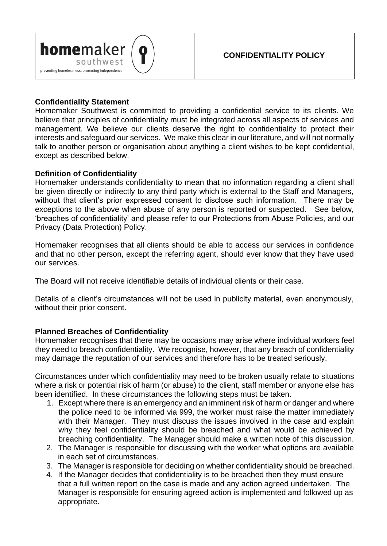

## **Confidentiality Statement**

Homemaker Southwest is committed to providing a confidential service to its clients. We believe that principles of confidentiality must be integrated across all aspects of services and management. We believe our clients deserve the right to confidentiality to protect their interests and safeguard our services. We make this clear in our literature, and will not normally talk to another person or organisation about anything a client wishes to be kept confidential, except as described below.

## **Definition of Confidentiality**

Homemaker understands confidentiality to mean that no information regarding a client shall be given directly or indirectly to any third party which is external to the Staff and Managers, without that client's prior expressed consent to disclose such information. There may be exceptions to the above when abuse of any person is reported or suspected. See below, 'breaches of confidentiality' and please refer to our Protections from Abuse Policies, and our Privacy (Data Protection) Policy.

Homemaker recognises that all clients should be able to access our services in confidence and that no other person, except the referring agent, should ever know that they have used our services.

The Board will not receive identifiable details of individual clients or their case.

Details of a client's circumstances will not be used in publicity material, even anonymously, without their prior consent.

# **Planned Breaches of Confidentiality**

Homemaker recognises that there may be occasions may arise where individual workers feel they need to breach confidentiality. We recognise, however, that any breach of confidentiality may damage the reputation of our services and therefore has to be treated seriously.

Circumstances under which confidentiality may need to be broken usually relate to situations where a risk or potential risk of harm (or abuse) to the client, staff member or anyone else has been identified. In these circumstances the following steps must be taken.

- 1. Except where there is an emergency and an imminent risk of harm or danger and where the police need to be informed via 999, the worker must raise the matter immediately with their Manager. They must discuss the issues involved in the case and explain why they feel confidentiality should be breached and what would be achieved by breaching confidentiality. The Manager should make a written note of this discussion.
- 2. The Manager is responsible for discussing with the worker what options are available in each set of circumstances.
- 3. The Manager is responsible for deciding on whether confidentiality should be breached.
- 4. If the Manager decides that confidentiality is to be breached then they must ensure that a full written report on the case is made and any action agreed undertaken. The Manager is responsible for ensuring agreed action is implemented and followed up as appropriate.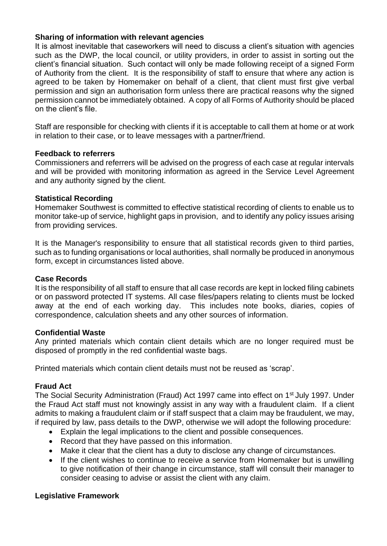### **Sharing of information with relevant agencies**

It is almost inevitable that caseworkers will need to discuss a client's situation with agencies such as the DWP, the local council, or utility providers, in order to assist in sorting out the client's financial situation. Such contact will only be made following receipt of a signed Form of Authority from the client. It is the responsibility of staff to ensure that where any action is agreed to be taken by Homemaker on behalf of a client, that client must first give verbal permission and sign an authorisation form unless there are practical reasons why the signed permission cannot be immediately obtained. A copy of all Forms of Authority should be placed on the client's file.

Staff are responsible for checking with clients if it is acceptable to call them at home or at work in relation to their case, or to leave messages with a partner/friend.

#### **Feedback to referrers**

Commissioners and referrers will be advised on the progress of each case at regular intervals and will be provided with monitoring information as agreed in the Service Level Agreement and any authority signed by the client.

## **Statistical Recording**

Homemaker Southwest is committed to effective statistical recording of clients to enable us to monitor take-up of service, highlight gaps in provision, and to identify any policy issues arising from providing services.

It is the Manager's responsibility to ensure that all statistical records given to third parties, such as to funding organisations or local authorities, shall normally be produced in anonymous form, except in circumstances listed above.

#### **Case Records**

It is the responsibility of all staff to ensure that all case records are kept in locked filing cabinets or on password protected IT systems. All case files/papers relating to clients must be locked away at the end of each working day. This includes note books, diaries, copies of correspondence, calculation sheets and any other sources of information.

#### **Confidential Waste**

Any printed materials which contain client details which are no longer required must be disposed of promptly in the red confidential waste bags.

Printed materials which contain client details must not be reused as 'scrap'.

# **Fraud Act**

The Social Security Administration (Fraud) Act 1997 came into effect on 1<sup>st</sup> July 1997. Under the Fraud Act staff must not knowingly assist in any way with a fraudulent claim. If a client admits to making a fraudulent claim or if staff suspect that a claim may be fraudulent, we may, if required by law, pass details to the DWP, otherwise we will adopt the following procedure:

- Explain the legal implications to the client and possible consequences.
- Record that they have passed on this information.
- Make it clear that the client has a duty to disclose any change of circumstances.
- If the client wishes to continue to receive a service from Homemaker but is unwilling to give notification of their change in circumstance, staff will consult their manager to consider ceasing to advise or assist the client with any claim.

# **Legislative Framework**